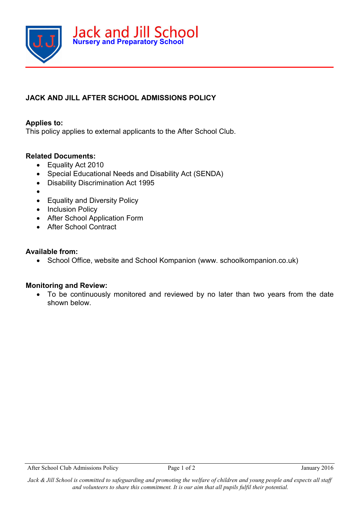

# **JACK AND JILL AFTER SCHOOL ADMISSIONS POLICY**

# **Applies to:**

This policy applies to external applicants to the After School Club.

# **Related Documents:**

- Equality Act 2010
- Special Educational Needs and Disability Act (SENDA)
- Disability Discrimination Act 1995
- •
- Equality and Diversity Policy
- Inclusion Policy
- After School Application Form
- After School Contract

# **Available from:**

• School Office, website and School Kompanion (www. schoolkompanion.co.uk)

#### **Monitoring and Review:**

• To be continuously monitored and reviewed by no later than two years from the date shown below.